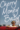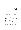## Chapter One The Loop

Cherry's run was a loop, from her trailer park, down Hope Avenue, up Route 9, past the bottling plant, and back down Webster. The same every day. Same direction, same view.

Except today.

The road ahead was blocked. She slowed a few yards from the sawhorses, stopped, bent, stretched, and spit onto the pavement. The kid in the traffic vest made a face.

"What's going on?"

"The road's blocked," said the kid.

There were police cruisers and wooden barriers and detour signs.

"No kidding," said Cherry. "I mean, why?"

"They're filming a movie," said the kid. He was maybe in college. He had those super-geek glasses that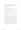actual geeks bought when they decided to embrace geekdom. He was probably wearing old-fashioned sneakers. Cherry stretched her calves and checked.

Yup.

"What movie?"

"It's a remake of *Alive and Unmarried,* the one about Stewart Cane, the guy who, like, invented soda."

"And they're filming it here?"

Aubrey didn't have much to recommend it besides a nightclub, Shabooms, and they had one of those over in Worcester, too.

"Yeah. So the road's blocked. You gotta go around."

Cherry put her palms out. "Okay, okay, I'm going. Easy."

She spit one more time for good measure and started back home. She jogged past the nice houses, then the slightly scrubbier houses farther down, then the justplain-scrubby houses, and at last came to the entrance of her trailer park, two streets of mobile homes called Sugar Village. Next to the village was Sweet Pond, which was clear and dead, thanks to runoff from the cola bottling plant. The lake sort of smelled sweet. She always liked that.

A weed-clogged crack separated the darker concrete of Hope Ave. from the paler cement of Sugar Village, and some part of Cherry, left over from avoiding cracks and broken backs, hopped over the threshold.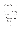That hadn't been too bad. She didn't flip out or swear at the glasses kid. See? She could be chill. She decided today was Day One of her new life of not flipping her shit at people. Today was Day One of not being a crazy bitch.

Their trailer was small, even by trailer standards. Cherry's bedroom was half a bedroom, split down the middle with a flimsy wall of Sheetrock. Her younger brother, Stew, had the other half. No wall was more than two inches thick, which meant a stray elbow or angry fist could easily knock through to the next room. Every snore, conversation, or cough was audible through the walls. Privacy was a dream — except in the glass phone booth of the shower, which was a great place to get some thinking done.

The faucet sputtered and gagged, releasing a jet of scalding water and steam. She stood under the flow, letting her thoughts wash away with the sweat and road grit. Hot showers were the best, with the water so hot it turned your skin pink, as if you could shed it gecko-style. And just when she couldn't stand it any longer—*twist*, *crank, rattle* — she'd torque the cold water to full. The shock *nuked* conscious thought.

A quick change and Cherry flounced into the kitchen in her work uniform. Burrito Barn staff were required to wear vomit-yellow polo shirts with matching visors. She'd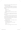spent the previous evening scrubbing a chipotle stain off the lapel with a toothbrush.

The percolator bubbled, filling the trailer with an oaky, burned smell. Cherry's father sat at the kitchenette table, palms enveloping his favorite mug. She kissed his forehead.

" Morning, Pops."

Grunt.

"I'll make you breakfast."

Pop flipped a page in the *Aubrey Times.* "Donuts in the fridge."

"No donuts." She retrieved the frying pan from its drawer. "You gotta eat healthier, Pops, or your heart's gonna 'splode."

The sink was filled with last night's pasta dishes. No one asked her to wash them, but the men were just fucking *incapable.* Pop and Stew might be content to eat off a plate with congealed gravy stuck to the underside, but *someone* had to have standards.

"How was your run?"

" Aborted," said Cherry. "They're filming a movie at the bottling plant, I guess."

"You couldn't just go around?"

"Nah. If I can't do *my* route, I'm not running."

"You're a crazy girl."

"I know."

She set the eggs sizzling and retrieved a Yow-Gurt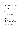from the fridge. According to the package, it was both nutritious *and* delicious. Pop eyed the pink sludge as though he doubted both counts.

"How come I gotta eat eggs and you get to eat that shit?"

"I'm not fat, Pops."

Pop huffed, turned a page. "I'm big boned."

"And your big bones are covered in clogged arteries," said Cherry. "You're like a bacon-wrapped dino skeleton."

Pop chuckled and handed her the comics page. Charlie Brown missed the football. Cherry missed *Calvin and Hobbes.*

"Your quarterly report card came in."

Her eyes jerked up a little too quickly. She lowered them. "Oh?"

"Yeah. Apparently it came a week ago, but somehow it fell out of the mailbox."

" Weird."

"And into the trash."

"Huh."

"And got ripped into a million pieces."

Cherry ate her yogurt. "Must have been mice. I told you we need an exterminator."

He pushed the document across the table. It had been reassembled with Scotch tape, roughly, but the writing was still legible. Next time she'd burn it.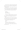"Look, what does it matter?" She tossed the empty Yow-Gurt cup over her shoulder. It landed squarely in the trash. Pop raised his eyebrows, duly impressed. "I'm graduating, aren't I?"

"Yeah, *high school,*" said Pop. "What about college? How do you expect to get in with report cards like this?"

Cherry allowed herself a peek at the Aubrey Public stationery. The details had not magically transformed:

*Lacks drive. Vulgar language. Impulse-control problems.*

"That last one is bullshit," said Cherry. "I do *not* have fu —" She took a breath, smiled, turned her palms out. "I am rage-free. And my language isn't *vulgar* — it's . . . colorful."

Pop chuckled. She started to stand, but he stopped her with a gentle hand on her wrist. "You're not getting off easy because you make me laugh, Alice Kerrigan."

Cherry swallowed. "I hate that name."

" Cherry."

"Pop."

He released her. "What do you wanna do?"

"I want to save your eggs before they vulcanize."

When your pop's an auto mechanic, you pick up some choice vocab.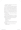Pop sighed like a deflating bouncy castle and turned out his palms — a family gesture.

She wasn't sure how it had happened, this Grand Canyon of a misunderstanding between her and Pop. She was on one side, missing early decision for college, pretending to forget early enrollment, dropping hints about taking a year off. Then way the hell and gone on the other side was Pop, who usually respected her decisions, but now he was wringing his hands, waiting for those applications to go out, still expecting Cherry to be the first Kerrigan to go to college, the family vanguard, the one with *potential.*

She wasn't going to college, and she just couldn't bring herself to tell him.

She added some chopped peppers to the eggs. (In addition to washing the dishes, the boys were incapable of shopping for anything other than microwave pizza and beer.) She served it up on Pop's favorite Patriots plate.

"What's all this green shit?"

" Vegetables," said Cherry.

"No cheese?"

"Are you serious?"

She flicked away the report card and tossed it in the bin with the coffee grounds, browned paper towels, and other garbage.

Something smacked her on the back of the head.

" Goddamn it, Stew!"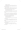"Language," said Pop.

"Morning, family!" Cherry's brother opened the cabinet and took down the Cap'n Crunch. "How is everyone this fine Sunday?"

Cherry socked his shoulder, then leaned in close, sniffing. Stew looked at her like she'd just farted. "What?"

"You stink like weed," she said in a whisper.

"You can't smell shit," he hissed.

"You better have left some hot water for me," Pop said, examining a green-and-yellow wad at the end of his fork.

"I got hot water for about two seconds. Blame Cherry," said Stew. He arranged himself in Cherry's seat with the cereal and a carton of milk. Cherry checked the clock on the stove and sat between the boys.

"Eat quickly, all right? We gotta go soon."

"Go where?" Stew asked.

"I got work, genius," Cherry said. "You're driving me, like always."

"Can't today," said Stew, mouth full of cereal. "Pop's got me driving out to Marlborough to pick up a new muffler."

Cherry's jaw dropped. She looked to Pop. "Why didn't you tell me?"

He shrugged. "You can walk it. It's not that far."

"Work starts in five minutes, and it's a fifteen minute walk!"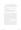"Then I guess you better start running," Stew said.

"Fuck!" Cherry jumped up, knocking over her chair. "*This* is why I need a fucking car, Pop! You said you were gonna fix up one of the old junkers at the shop for me!"

Pop leaned away as if her anger were a hailstorm. "I will, soon as I can."

"You been saying that for two years! *Goddamn it!*"

She grabbed her keys and slammed open the screen door, making for Hope Ave. at a dead sprint.

For the record: Cherry knew she was a crazy girl. She had been since forever. The oldest example, the earliest moment of craziness Cherry could recall, transpired on a humid Tuesday afternoon, after a morning spent doodling with chalk on the sticky-hot driveway. Cherry was bent over her flower, scribbling with a diminishing pink nib, when she heard shouting inside the trailer. She was seven, knees tacky with driveway grit, pink tint on her neck and shoulders from two hours in the hazy sun. The screen door slammed open.

Here the memory skips a frame. It was later, the humidity had hatched thunder and rain, and Pop sat at the kitchen table, just . . . paralyzed. Cherry's mother dragged a flower-print suitcase to a big red sports car of a make and model that all of Cherry's subsequent automotive education could not discern through memory's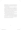downpour. There was a man at the wheel. Her mother did not look back or say good-bye. The suitcase's casters jittered over the driveway where Cherry's chalk flowers were rapidly dissolving.

She was too young to get it, what was happening, but knew she now hated her mother. In her childish understanding of the situation, the chalk, which her mother had purchased, was somehow to blame. To hurt Momma, Cherry threw the yellow Crayola chalk box at the big red sports car and screamed, "I don't even *want* it!"

Momma didn't notice. Trunk slam. Door slam. Lightning flash. The brake lights flared, and the red mystery car was gone, taking her mother with it.

This is what Cherry discovered about herself: while her brother hid in his room and her father stared glumly into his coffee, it was Cherry alone, seven-year-old Cherry, who, in so many words, told their selfish, disloyal, inconstant mom to go fuck herself.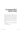# Chapter Two The International Sign for Help Me, I'm Dying

She'd worked at Burrito Barn since freshman year, when it was Jeb's Chicken Jamboree. In addition to her perfect attendance, Cherry Kerrigan was a master burrito roller. A monkey could fold a taco, but it took an artist to make the perfect burrito. Roll too tight and it exploded in your mouth, too loose and the filling landed in your lap. Burrito rolling wasn't a career plan or anything, but she liked having something she was good at, unlike school. Working hard, getting paid — these were things to be proud of.

Cherry arrived at ten thirty, soaked through and breathing hard. Her manager glanced up from the breakroom whiteboard.

"What are you doing here?"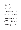Cherry took a drink from the bubbler. "I work here. Remember?"

"Not today you don't." He pointed at the whiteboard, a grid of indecipherable squiggles. "You're working tomorrow, the twenty-fifth."

"I can't work on Monday. I go to school."

The manager squinted at her, looked back at the board. "You do? How old are you?"

"Also, you didn't tell me I had the day off."

The manager tapped his chin with the marker, leaving an ink soul patch. "Oh, yeah."

"So?"

"So, you're still not working today. It's not on the board." He gestured to the squiggle grid as if this explained everything. "See?"

Cherry plucked the marker from his hand and wrote her name in the 10:30–4:30 slot. "Voilà. It is written." She handed him the marker. "Okay?"

He swallowed and nodded. He was a little afraid of her. That was fine by Cherry.

The burrito station was a long table with a sneeze guard and a sink at one end. The blotter was stenciled with burrito-rolling instructions, which Cherry largely ignored. Above the sink was a three-paneled safety poster. The poster featured two characters: Red Guy and Green Guy. Red Guy was choking, and Green Guy was performing the Heimlich maneuver. Some joker had drawn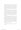a fourth panel in which Red and Green were smoking cigarettes, like they'd just had sex. The poster *did* look dirty. Once you saw it, you couldn't unsee it. Though in Cherry's version, Red Guy was a skinny burrito roller with her hair dyed blond, and Green Guy wasn't green at all, but coffee colored, with a leaf-rustle voice and warm, soft hands.

Working the register was Ned, a boy Cherry knew from school. Kids called him Ned the Sped because he took special ed classes. Cherry and Ned were Speds together until eighth grade, when Cherry had graduated to Below Average while Ned stayed Way Below Average. Cherry just called him Ned. When you took special ed, you called *yourself* a Sped. You didn't need reminding.

The morning passed. The lunch rush came and went. Cherry reheated her twentieth package of Zesty Amp-inadas. Ned was picking his nose when two girls approached the register. They weren't local. Their fancy clothes were from catalogs with deck chairs and sailboats: visors and white polo shirts and bug-eye sunglasses that hid their features. They were probably wearing highheeled sandals. Cherry pretended to need something under the counter and checked.

Yup.

Nobody dressed like that in Aubrey, not even in the nicer parts.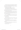The girls read the menu, the dark-haired one tapping her chin. Her blond friend's lips kinked at the end in a perma-grimace. The bitchy blonde mumbled something, and the pretty brunette giggled.

"Hush, Span. Not everything can be Nobu."

She had a British accent. Because, of course.

Ned cleared his throat. "Howdy and welcome to Burrito Barn. Would you like to try our Border Burrito with Chimmi-Salsa Tater Stackers?"

The dark-haired girl gave Ned a megawatt smile that made her look somehow familiar, though maybe it was only that all rich people looked like they came from the same crystalline gene pool.

"Two . . . Win-Chiladas," she read from the menu, her accent making the ridiculous words sound sophisticated. "And Perrier."

"Who?" said Ned.

"We don't have Perrier. Just soda," Cherry said with her best customer-service smile. "I recommend cherry. It's my favorite."

The brunette smiled back. "Two cherry colas, then."

The blonde made a face like she was choking something back.

 Cherry rolled the Win-Chiladas, and the girls took a corner table. Ned stared at them.

"How's the view?"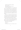"I'm pretty sure she's famous," said Ned.

"How can you tell?"

"Famous people wear sunglasses inside."

"Oh, yeah. Good point."

It was the typical midafternoon lull. Standing still drove her ape-shit bonkers, so she wiped down her station and worked to unclog the finicky soda fountain. Her mind wandered as she worked, drifting back to her poster fantasy. The coffee-colored hands had unfastened her bra (and here was where *real* imagination took over; Cherry was seven-tenths a virgin) and were working their way south when a noise yanked her out of the daydream.

Someone was screaming. The bitchy blonde jumped to her feet. Necks swiveled. The other girl, the brunette, was doubled over like she was laughing, but no sound escaped her throat. She clawed at her collar, clutching her neck in the international sign for *Help me, I'm dying.*

Burrito Barn was frozen. The patrons, the manager with his mop, Ned the Sped mouth-breathing at the register — everyone stood stock-still, staring at the choking woman like she was doing performance art.

*They can't move,* Cherry thought.

*They can't move.*

*I can move.*

She dropped her rag, ran one-two-three steps to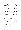the counter; she swung her legs up and over, and then another four strides across the dining-room linoleum, slipping once on the spilled cola. The choking girl's face had turned lavender, not red like the poster. Cherry slipped her arms under the girl's and heaved. She folded her hands into a big fist and punched *in and up, in and up,* just like the poster said. The girl's visor had fallen off, and Cherry could see the dark swirl of hair and the pale scalp underneath.

With a wet, thick hack, something popped out. The girl held her hands to her mouth and caught the gummy brown obstruction. Cherry helped her to a chair and knelt in front of her. Color was returning to her face. Damp hair clung to her cheeks and forehead. All the beauty had been squeezed out of her.

"You okay?" Cherry said.

The girl nodded, clutching the obstruction to her chest like something precious. Her eyes, tearful and bloodshot, fell to Cherry's name tag.

"Cherry?" she wheezed, her voice the texture of powdered soap.

"That's me."

The paralysis in the room was broken. The girl's friend rushed to her side, weeping, kissing her forehead. They hugged each other. A sound like rain filled Cherry's ears.

Applause.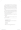Cherry wandered, dazed, back to her burrito station. People clapped her on the back. Her manager appeared — he'd lost his visor, too — and took her by the shoulders. Cherry felt herself ushered into the back room, a fog filling her brain like steam from the morning's shower. She couldn't think. She wasn't sure she could breathe.

"Holy shit, holy shit." The manager literally jumped up and down. He locked the break-room door. "Oh, my God. I need to call the cops. No! The paper! No, fuck the paper. I'm calling *People* magazine."

"I need some water," Cherry said. The room was spinning much more than usual.

" Cherry, snap out of it. Don't you realize what you've done?"

"Huh?"

"That was Ardelia Deen!" the manager said. "You just saved a movie star!"

You searched for Ardelia Deen.

Related searches: Arden Deen, Lucifer Deen, Maxwell Silver, Cyrus Dar, Cynthia Sundae.

#### **Ardelia Deen**

**Born:** January 1, 1989, London, England, UK more >>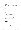#### **Mini-biography:**

Ardelia Deen, daughter of acclaimed film director Arden Deen ( 1954–), made her cinematic debut at the young age of . . . more >>

#### **Trivia:**

An amateur architecture historian, Deen has published several academic papers on Edwardian mansions . . . more >>

**Up 71%** in popularity this week.

#### **Awards:**

Nominated for 2 Golden Globes. Another 15 wins & 24 nominations . . . more >>

Ardelia Deen and Maxwell Silver slated for remake of 1961's Alive and Unmarried, to film in Massachusetts (From Retrovid.com, February 1, 2013, 2:02 PM, PDT) Cyrus Dar discusses his torrid affair with costar Ardelia Deen (From Filmgasm, January 21, 2013, 2:58 PM, PDT)

#### **Filmography:**

1. Alive and Unmarried: The Stewart Cane Story (2014) (in production) . . . Olive Aubrey 2. Lady of the House (2012) . . . Jane Austen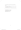3. Cinema Royalty: Arden Deen's Family of Stars (2007) . . . Herself

4. Low in the Morning (2006) . . . Hazel Low, age 14; age 16

5. Red Shift (2003) . . . Ruby Blue

6. The Rented Girl (1997) . . . Rachel Spatz; Rebecca Spatz

You searched for Cherry Kerrigan. Your search yielded no matches. Did you mean cherry cola?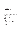### Chapter Three You're Blowing Up

Burrito Barn was like a crime scene with no victim. News vans clogged the parking lot, stacked bumper to bumper along Hope Ave., a forest of satellite dishes rising over the treetops. On the ground, crews reported within earshot of each other:

"No news yet whether Ms. Deen survived the attack . . ."

". . . largely due to unsanitary eating conditions . . ."

". . . was saved by local high-schooler Alice Kerrigan . . ."

Yokels strained against police tape, while the cops crooked their fingers in their belts and everyone craned to catch a glimpse of Keira Knightley or Nicole Richie or whoever it was (reports varied). Other onlookers were gossip fiends who'd seen the news on Twitter and rushed over.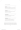# Burrito Barn was trending.

**Squawker** Squawker Magazine 2 min ago @thereal ArdeliaDeen suffered from an obstructed windpipe, sources confirming she is okay guys! # Ardelia Deen

**CelebsTalker** Stan McDonald 4 min ago @thereal ArdeliaDeen saves local girl from choking at some barn! http://brd.ly/6B04R

**ardentforardelia** Nicole 12 min ago @thereal ArdeliaDeen is dead??? Someone please confirm! #panicked #sayitaintso!

**shutthefunkup** Olivia Fenchetti 17 min ago Pic of # Burrito Barn parking lot. Craziness! Anyone else hear @therealArdeliaDeen was saved by @ CherrySmack? #IKnowHer! twittpic.com/6mD4s

Ardelia and her blond friend had vanished, escaping in a little Italian sports car just before the press arrived. The manager was more than eager to give his statement, but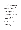no one cared what he had to say. Cherry, on the other hand, was cornered in the break room by half a dozen news crews. The reporters were packed shoulder to shoulder pad in the tiny room. The cameramen stood just behind, like a second layer of shark's teeth, squinting into viewfinders. The sound guys were at the back, balancing fuzzy boom mikes that bumped against the ceiling, making headphones squeal. The wall of plastic, paisley, and heavily made-up faces formed an advancing semicircle around Cherry. Now she understood why they were called the *press.*

"What went through your mind when you saw that Ms. Deen couldn't breathe?" a woman in a neckerchief asked.

Cherry took a breath and tried to gather her thoughts. There weren't many to gather. Her brain felt emptied. Was this really happening? No, obviously not.

"I think it was, *That woman can't breathe,*" she replied. A cameraman chuckled. She hadn't meant to be funny. "Are you a big fan of Ms. Deen's?"

Cherry shrugged. "Not really."

She judged from their expressions this wasn't the answer they expected or wanted. "My brother's obsessed with her, though. He's got a poster of her above his bed."

More laughter from the camera guys. This time even some of the reporters smiled.

"Which poster?" a girl in a Freaktallica T-shirt asked, holding out her mini-recorder.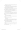"What's the one where she plays Jane Austen and hunts vampires?" Cherry asked.

*"Lady of the House,"* everyone seemed to say in unison.

A few of the reporters chuckled this time. The bored newspaper guys glanced up, pens poised.

"Yeah, that's the one," said Cherry. "She's in that white nightgown and holding the bloody stake. The movie was okay. I heard the book sucked, though."

"Were you excited to meet a celebrity?" the local news lady asked, inching forward.

"No," said Cherry. "I mean, I dunno. I didn't really know who she was. I just thought she was some hot chick in a polo shirt who didn't know how to chew her food."

This time, they *all* laughed.

"So, you didn't recognize Ms. Deen when she entered?"

"No, but I knew she was rich."

"How's that?"

"Her clothes are from Star and Liberty," Cherry said. "We don't really have swanky shit like that in Aubrey." She winced. "Shit. Can I say 'shit'?"

"Sure!" said the girl from TMZ.

"We can edit it out," said the Worcester Cable News guy.

"You seem pretty unimpressed with celebrity," the  *Boston Globe* man said.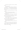"I don't know," said Cherry. "I never met a celebrity before."

"So, how does it feel?"

She thought about it, searching for something profound. "She's so . . . small. She looks big on-screen, you know? Not *fat* just . . . like a *giant.* And in reality she's this tiny person. I mean, I could wrap my arms around her twice."

"Are you worried that Ms. Deen has an eating disorder?"

" Could this incident be related to bulimia?"

"Why do you think Hollywood is so obsessed with body-image issues?"

"Whoa!" Cherry put out her palms. "I just said the bitch was fit. I don't know if she's anorexic or whatever. In fact, she ordered some pretty fatty food, so . . ."

"I love it!" someone said.

"I have a question," a woman in no-nonsense glasses asked. "The restaurant was full of people, and by all accounts you were the farthest from Ms. Deen."

"Yeah," said Cherry. "That's right."

"Why do you think *you* ran to her aid, and no one else did?"

The room got very quiet, and for the first time Cherry was aware, *really* aware, that she was talking to an audience of millions, to more people than she had ever or would ever meet in a lifetime.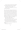"I guess it's because most people, when something goes wrong, they think about what to do," said Cherry.

"And you knew what to do?" someone offered.

"No," said Cherry. "I just don't think."

"Amazing," someone said. "This is way better than Christina's leaked photos."

More questions. More photos. She felt faint. She was going to go down like a prizefighter if they didn't give her some air. They loved her, they couldn't get enough of her, but Cherry'd had more than enough of them. Finally she said she had to pee and locked herself in the bathroom. There was a skinny window near the ceiling. It took a few attempts, but soon she was able to squirm through the small gap and out into the alley behind Burrito Barn. She dropped to the pavement, her top streaked with grease and grit from the windowsill.

Ned was there, smoking a cigarette.

"What's wrong with the door?" he asked.

" Those fuckers don't know when to quit." Ned offered her the smoke. She shook her head. "See ya, Ned."

She started down the alley, but Ned stopped her.

"You wanna go the back way." He nodded over his shoulder. "There're still a bunch of news guys in the parking lot."

Cherry smiled. "Thanks, Ned."

...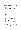She jogged up Hope Ave., a crazy girl with wild hair in a filthy Burrito Barn uniform. She was halfway home when her brother's tricked-out Dubber came over the ridge. She flagged him down.

"I was just coming to get you."

She slid into the passenger seat. "Work let out early. On account of extreme craziness."

"Holy shit, so it's true?" Stew showed her his cell phone, a text from his latest girlfriend:

> Stewie ur sis saved Ardelia Deen from poisoning!

" Choking, actually."

"Damn."

He pulled into traffic, reaching across her lap for the glove compartment. Stew extracted a joint and lit up.

"You're kidding, right?"

Stew shrugged. "This is a *situation.* You want?"

"No." She waved the smoke away from her face.

"Okay, so, you gotta tell me."

"Tell you what?"

His voice was like a frog, smoke tumbling out with his words. "Are they real? Her tits?"

" Jesus, Stew!" She punched his arm, and the Dubber swerved a little.

"I'm just saying, when you did CPR or whatever,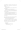you probably got a good feel. I mean, you're in the position to answer a question many a young man has pondered..."

"You are *such* a guy."

"That's what they tell me." Stew smiled around the joint in his lips.

"All right," said Cherry. "Yeah, they're real."

"Oh!" Stew let go of the wheel, throwing his hands up like he was on a roller coaster. "She noticed! I *knew* you were a lesbian!"

"You *fucker.*" She socked him again, plucked the joint from his fingertips, and flicked it out the window.

They were both laughing so hard, Stew had to pull over a block from their driveway, just so they could contain themselves.

Pop was MIA. Cherry and Stew booted up the family's HP. The dial-up buzzed and sang its weird music.

" Cherry, you are blowing up," said Stew.

It was true. Not only did she have 217 new friend requests, but her followers on Twitter had tripled. The YouTube video of her interview already had 127,000 views. Cherry read the comment stream:

LOL fucking hick Mrjazz 1 min ago don't be a hater dickhead shes sweet starcrusher45 1 min ago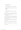#### WE LOVE YOU, CHERRY!

Believerbelieves 1 min ago

That girl is tooo skinny someone tell her to eat something stacKED27 1 min ago

Is anyone else fantasizing about her giving Ardelia the Heimlich maneuver?

FallGuy 1 min ago I am! anonymous 1 min ago

the squawker.com clip is higher rez check it out on myfeed ArdeliaTube 2 min ago

Squawker, TMZ, all the major celeb blogs were talking about her. The front page of Trip'd featured a publicity shot of Ardelia next to a photo of . . . *shit.*

"I look terrible!"

The photo they'd used was from the Burrito Barn break room. Cherry was sweat stained, pale, and haggard. It had been taken while Cherry was midsentence, mid blink, possibly mid-sneeze.

*" 'I just thought she was some hot chick in a polo shirt who*  didn't know how to chew her food,'" Stew read. "Did you really say that?"

"Jesus." Cherry gripped the sides of the monitor. "I sound like an idiot! It didn't sound that stupid when I said it."

" Check it out," said Stew. "You're even on Auto-Tune the News."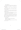"You're kidding me."

Someone had set a clip from Cherry's interview to music, editing her words together so it sounded like she was singing.

*"No, but I knew / I knew / I knew she was riiiiiich,"* the web Cherry sang. *"Shit! / Can I say 'shit'? / Well. / I knew she was riiiiich!"*

"My sister the meme," Stew said. "Also, thanks for mentioning the poster thing, asshole. You made me sound like a skeeve."

Cherry leaned her forehead against the desk. " Damn it. Why can't I just keep my mouth shut?"

"Maybe this is the reason." Stew brought up SweetWear.com, the design-your-own T-shirt site. Top rated was something called the Cherry Tee, a red-andblack tee with a message in white lettering over the outline of a cherry. It said:

i don't think.

" Fabulous," Cherry said. " Fucking. Fabulous."

"Where are you going?"

"Out," she said, unlocking the back door. "If Pop asks, I'm at Lucas's."